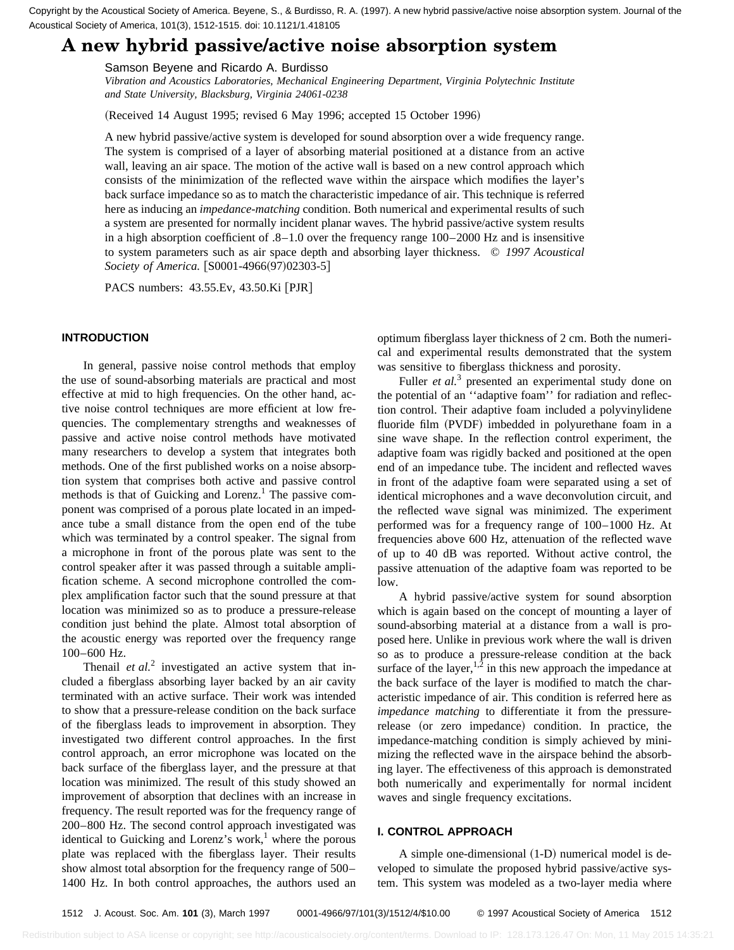Acoustical Society of America, 101(3), 1512-1515. doi: 10.1121/1.418105

# **A new hybrid passive/active noise absorption system**

## Samson Beyene and Ricardo A. Burdisso

*Vibration and Acoustics Laboratories, Mechanical Engineering Department, Virginia Polytechnic Institute and State University, Blacksburg, Virginia 24061-0238*

(Received 14 August 1995; revised 6 May 1996; accepted 15 October 1996)

A new hybrid passive/active system is developed for sound absorption over a wide frequency range. The system is comprised of a layer of absorbing material positioned at a distance from an active wall, leaving an air space. The motion of the active wall is based on a new control approach which consists of the minimization of the reflected wave within the airspace which modifies the layer's back surface impedance so as to match the characteristic impedance of air. This technique is referred here as inducing an *impedance-matching* condition. Both numerical and experimental results of such a system are presented for normally incident planar waves. The hybrid passive/active system results in a high absorption coefficient of .8–1.0 over the frequency range 100–2000 Hz and is insensitive to system parameters such as air space depth and absorbing layer thickness. © *1997 Acoustical Society of America.* [S0001-4966(97)02303-5]

PACS numbers: 43.55.Ev, 43.50.Ki [PJR]

## **INTRODUCTION**

In general, passive noise control methods that employ the use of sound-absorbing materials are practical and most effective at mid to high frequencies. On the other hand, active noise control techniques are more efficient at low frequencies. The complementary strengths and weaknesses of passive and active noise control methods have motivated many researchers to develop a system that integrates both methods. One of the first published works on a noise absorption system that comprises both active and passive control methods is that of Guicking and Lorenz.<sup>1</sup> The passive component was comprised of a porous plate located in an impedance tube a small distance from the open end of the tube which was terminated by a control speaker. The signal from a microphone in front of the porous plate was sent to the control speaker after it was passed through a suitable amplification scheme. A second microphone controlled the complex amplification factor such that the sound pressure at that location was minimized so as to produce a pressure-release condition just behind the plate. Almost total absorption of the acoustic energy was reported over the frequency range 100–600 Hz. Countries the measure of the measure  $\mu$  and  $\mu$  are the state of the state of the state of the state of the state of the state of the state of the state of the state of the state of the state of the state of the state

Thenail *et al.*<sup>2</sup> investigated an active system that included a fiberglass absorbing layer backed by an air cavity terminated with an active surface. Their work was intended to show that a pressure-release condition on the back surface of the fiberglass leads to improvement in absorption. They investigated two different control approaches. In the first control approach, an error microphone was located on the back surface of the fiberglass layer, and the pressure at that location was minimized. The result of this study showed an improvement of absorption that declines with an increase in frequency. The result reported was for the frequency range of 200–800 Hz. The second control approach investigated was identical to Guicking and Lorenz's work, $<sup>1</sup>$  where the porous</sup> plate was replaced with the fiberglass layer. Their results show almost total absorption for the frequency range of 500– 1400 Hz. In both control approaches, the authors used an

optimum fiberglass layer thickness of 2 cm. Both the numerical and experimental results demonstrated that the system was sensitive to fiberglass thickness and porosity.

Fuller *et al.*<sup>3</sup> presented an experimental study done on the potential of an ''adaptive foam'' for radiation and reflection control. Their adaptive foam included a polyvinylidene fluoride film (PVDF) imbedded in polyurethane foam in a sine wave shape. In the reflection control experiment, the adaptive foam was rigidly backed and positioned at the open end of an impedance tube. The incident and reflected waves in front of the adaptive foam were separated using a set of identical microphones and a wave deconvolution circuit, and the reflected wave signal was minimized. The experiment performed was for a frequency range of 100–1000 Hz. At frequencies above 600 Hz, attenuation of the reflected wave of up to 40 dB was reported. Without active control, the passive attenuation of the adaptive foam was reported to be low.

A hybrid passive/active system for sound absorption which is again based on the concept of mounting a layer of sound-absorbing material at a distance from a wall is proposed here. Unlike in previous work where the wall is driven so as to produce a pressure-release condition at the back surface of the layer,<sup>1,2</sup> in this new approach the impedance at the back surface of the layer is modified to match the characteristic impedance of air. This condition is referred here as *impedance matching* to differentiate it from the pressurerelease (or zero impedance) condition. In practice, the impedance-matching condition is simply achieved by minimizing the reflected wave in the airspace behind the absorbing layer. The effectiveness of this approach is demonstrated both numerically and experimentally for normal incident waves and single frequency excitations.

# **I. CONTROL APPROACH**

A simple one-dimensional  $(1-D)$  numerical model is developed to simulate the proposed hybrid passive/active system. This system was modeled as a two-layer media where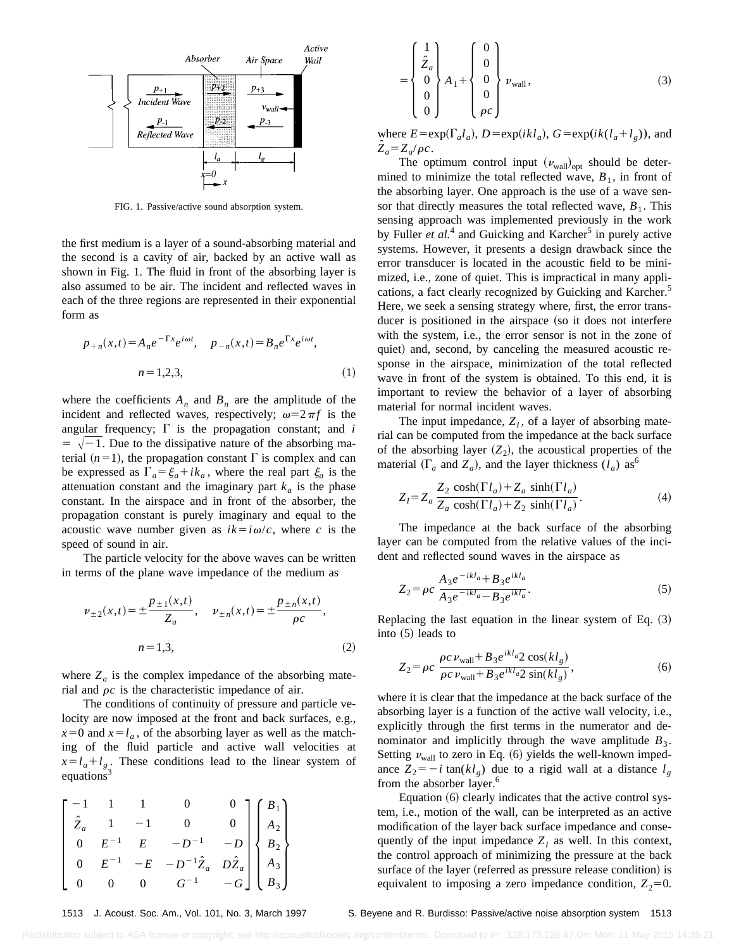

FIG. 1. Passive/active sound absorption system.

the first medium is a layer of a sound-absorbing material and the second is a cavity of air, backed by an active wall as shown in Fig. 1. The fluid in front of the absorbing layer is also assumed to be air. The incident and reflected waves in each of the three regions are represented in their exponential form as

$$
p_{+n}(x,t) = A_n e^{-\Gamma x} e^{i\omega t}, \quad p_{-n}(x,t) = B_n e^{\Gamma x} e^{i\omega t},
$$
  
\n
$$
n = 1,2,3,
$$
 (1)

where the coefficients  $A_n$  and  $B_n$  are the amplitude of the incident and reflected waves, respectively;  $\omega=2\pi f$  is the angular frequency;  $\Gamma$  is the propagation constant; and *i*  $=$   $\sqrt{-1}$ . Due to the dissipative nature of the absorbing material  $(n=1)$ , the propagation constant  $\Gamma$  is complex and can be expressed as  $\Gamma_a = \xi_a + i k_a$ , where the real part  $\xi_a$  is the attenuation constant and the imaginary part  $k_a$  is the phase constant. In the airspace and in front of the absorber, the propagation constant is purely imaginary and equal to the acoustic wave number given as  $ik = i\omega/c$ , where *c* is the speed of sound in air.

The particle velocity for the above waves can be written in terms of the plane wave impedance of the medium as

$$
\nu_{\pm 2}(x,t) = \pm \frac{p_{\pm 1}(x,t)}{Z_a}, \quad \nu_{\pm n}(x,t) = \pm \frac{p_{\pm n}(x,t)}{\rho c},
$$
  
\n
$$
n = 1,3,
$$
\n(2)

where  $Z_a$  is the complex impedance of the absorbing material and  $\rho c$  is the characteristic impedance of air.

The conditions of continuity of pressure and particle velocity are now imposed at the front and back surfaces, e.g.,  $x=0$  and  $x=l_a$ , of the absorbing layer as well as the matching of the fluid particle and active wall velocities at  $x = l_a + l_g$ . These conditions lead to the linear system of equations<sup>3</sup>

$$
\begin{bmatrix}\n-1 & 1 & 1 & 0 & 0 \\
\hat{Z}_a & 1 & -1 & 0 & 0 \\
0 & E^{-1} & E & -D^{-1} & -D \\
0 & E^{-1} & -E & -D^{-1}\hat{Z}_a & D\hat{Z}_a \\
0 & 0 & 0 & G^{-1} & -G\n\end{bmatrix}\n\begin{bmatrix}\nB_1 \\
A_2 \\
B_2 \\
A_3 \\
B_3\n\end{bmatrix}
$$

 $\left| \begin{array}{c} \end{array} \right|$ 1  $\hat{Z}_a$ 0 0  $\begin{pmatrix} 0 \\ 0 \\ 0 \end{pmatrix} A_1 + \begin{pmatrix} 0 \\ 0 \\ 0 \end{pmatrix}$ 0 0 0 0  $\begin{bmatrix} 0 \\ 0 \\ \rho c \end{bmatrix}$   $\nu_{\text{wall}}$ , (3)

where  $E = \exp(\Gamma_a l_a)$ ,  $D = \exp(ikl_a)$ ,  $G = \exp(ik(l_a + l_g))$ , and  $\hat{Z}_a = Z_a/\rho c$ .

The optimum control input  $(v_{\text{wall}})_{\text{opt}}$  should be determined to minimize the total reflected wave,  $B_1$ , in front of the absorbing layer. One approach is the use of a wave sensor that directly measures the total reflected wave,  $B_1$ . This sensing approach was implemented previously in the work by Fuller *et al.*<sup>4</sup> and Guicking and Karcher<sup>5</sup> in purely active systems. However, it presents a design drawback since the error transducer is located in the acoustic field to be minimized, i.e., zone of quiet. This is impractical in many applications, a fact clearly recognized by Guicking and Karcher.<sup>5</sup> Here, we seek a sensing strategy where, first, the error transducer is positioned in the airspace (so it does not interfere with the system, i.e., the error sensor is not in the zone of quiet) and, second, by canceling the measured acoustic response in the airspace, minimization of the total reflected wave in front of the system is obtained. To this end, it is important to review the behavior of a layer of absorbing material for normal incident waves.

The input impedance,  $Z_I$ , of a layer of absorbing material can be computed from the impedance at the back surface of the absorbing layer  $(Z_2)$ , the acoustical properties of the material  $(\Gamma_a$  and  $Z_a$ ), and the layer thickness  $(l_a)$  as<sup>6</sup>

$$
Z_{I} = Z_{a} \frac{Z_{2} \cosh(\Gamma l_{a}) + Z_{a} \sinh(\Gamma l_{a})}{Z_{a} \cosh(\Gamma l_{a}) + Z_{2} \sinh(\Gamma l_{a})}.
$$
\n(4)

The impedance at the back surface of the absorbing layer can be computed from the relative values of the incident and reflected sound waves in the airspace as

$$
Z_2 = \rho c \frac{A_3 e^{-ikl_a} + B_3 e^{ikl_a}}{A_3 e^{-ikl_a} - B_3 e^{ikl_a}}.
$$
\n<sup>(5)</sup>

Replacing the last equation in the linear system of Eq.  $(3)$ into  $(5)$  leads to

$$
Z_2 = \rho c \frac{\rho c \nu_{\text{wall}} + B_3 e^{ikl_a} 2 \cos(kl_g)}{\rho c \nu_{\text{wall}} + B_3 e^{ikl_a} 2 \sin(kl_g)},
$$
 (6)

where it is clear that the impedance at the back surface of the absorbing layer is a function of the active wall velocity, i.e., explicitly through the first terms in the numerator and denominator and implicitly through the wave amplitude  $B_3$ . Setting  $v_{\text{wall}}$  to zero in Eq. (6) yields the well-known impedance  $Z_2 = -i \tan(kl_g)$  due to a rigid wall at a distance  $l_g$ from the absorber layer.<sup>6</sup>

Equation  $(6)$  clearly indicates that the active control system, i.e., motion of the wall, can be interpreted as an active modification of the layer back surface impedance and consequently of the input impedance  $Z_I$  as well. In this context, the control approach of minimizing the pressure at the back surface of the layer (referred as pressure release condition) is equivalent to imposing a zero impedance condition,  $Z_2=0$ .

1513 J. Acoust. Soc. Am., Vol. 101, No. 3, March 1997 S. Beyene and R. Burdisso: Passive/active noise absorption system 1513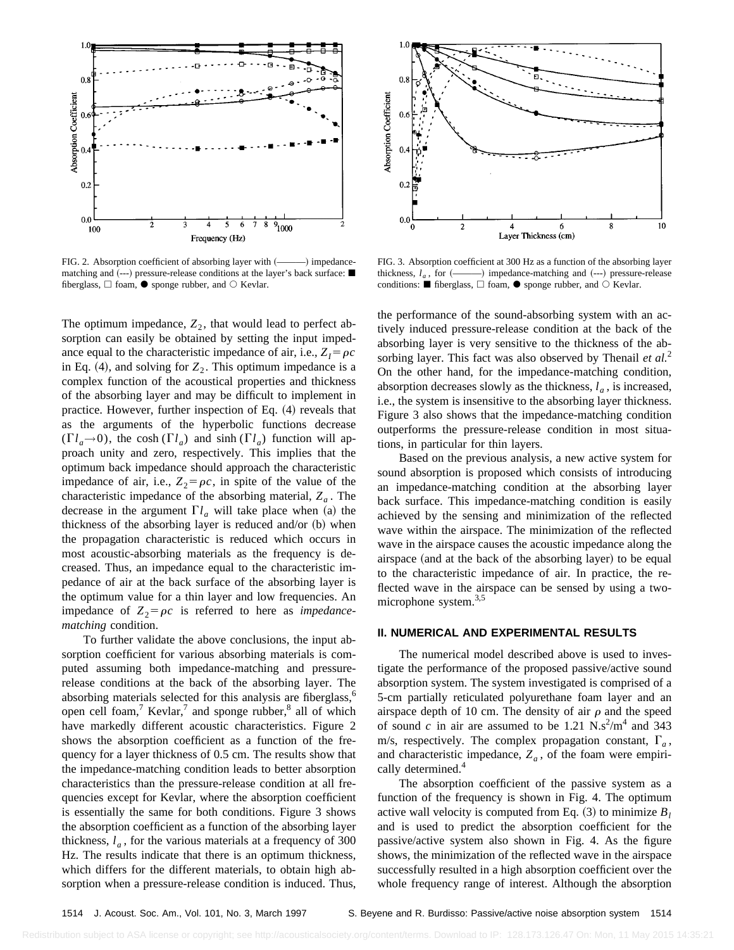

FIG. 2. Absorption coefficient of absorbing layer with (- impedancematching and  $(-)$  pressure-release conditions at the layer's back surface:  $\blacksquare$ fiberglass,  $\Box$  foam,  $\bullet$  sponge rubber, and  $\odot$  Kevlar.

The optimum impedance,  $Z_2$ , that would lead to perfect absorption can easily be obtained by setting the input impedance equal to the characteristic impedance of air, i.e.,  $Z_I = \rho c$ in Eq. (4), and solving for  $Z_2$ . This optimum impedance is a complex function of the acoustical properties and thickness of the absorbing layer and may be difficult to implement in practice. However, further inspection of Eq.  $(4)$  reveals that as the arguments of the hyperbolic functions decrease  $(\Gamma l_a \rightarrow 0)$ , the cosh  $(\Gamma l_a)$  and sinh  $(\Gamma l_a)$  function will approach unity and zero, respectively. This implies that the optimum back impedance should approach the characteristic impedance of air, i.e.,  $Z_2 = \rho c$ , in spite of the value of the characteristic impedance of the absorbing material,  $Z_a$ . The decrease in the argument  $\Gamma l_a$  will take place when (a) the thickness of the absorbing layer is reduced and/or  $(b)$  when the propagation characteristic is reduced which occurs in most acoustic-absorbing materials as the frequency is decreased. Thus, an impedance equal to the characteristic impedance of air at the back surface of the absorbing layer is the optimum value for a thin layer and low frequencies. An impedance of  $Z_2 = \rho c$  is referred to here as *impedancematching* condition.

To further validate the above conclusions, the input absorption coefficient for various absorbing materials is computed assuming both impedance-matching and pressurerelease conditions at the back of the absorbing layer. The absorbing materials selected for this analysis are fiberglass,<sup>6</sup> open cell foam,<sup>7</sup> Kevlar,<sup>7</sup> and sponge rubber, $\frac{8}{3}$  all of which have markedly different acoustic characteristics. Figure 2 shows the absorption coefficient as a function of the frequency for a layer thickness of 0.5 cm. The results show that the impedance-matching condition leads to better absorption characteristics than the pressure-release condition at all frequencies except for Kevlar, where the absorption coefficient is essentially the same for both conditions. Figure 3 shows the absorption coefficient as a function of the absorbing layer thickness,  $l_a$ , for the various materials at a frequency of 300 Hz. The results indicate that there is an optimum thickness, which differs for the different materials, to obtain high absorption when a pressure-release condition is induced. Thus,



FIG. 3. Absorption coefficient at 300 Hz as a function of the absorbing layer thickness, *la* , for ~———! impedance-matching and ~---! pressure-release conditions:  $\blacksquare$  fiberglass,  $\Box$  foam,  $\lozenge$  sponge rubber, and  $\bigcirc$  Kevlar.

the performance of the sound-absorbing system with an actively induced pressure-release condition at the back of the absorbing layer is very sensitive to the thickness of the absorbing layer. This fact was also observed by Thenail *et al.*<sup>2</sup> On the other hand, for the impedance-matching condition, absorption decreases slowly as the thickness,  $l_a$ , is increased, i.e., the system is insensitive to the absorbing layer thickness. Figure 3 also shows that the impedance-matching condition outperforms the pressure-release condition in most situations, in particular for thin layers.

Based on the previous analysis, a new active system for sound absorption is proposed which consists of introducing an impedance-matching condition at the absorbing layer back surface. This impedance-matching condition is easily achieved by the sensing and minimization of the reflected wave within the airspace. The minimization of the reflected wave in the airspace causes the acoustic impedance along the airspace (and at the back of the absorbing layer) to be equal to the characteristic impedance of air. In practice, the reflected wave in the airspace can be sensed by using a twomicrophone system.<sup>3,5</sup>

# **II. NUMERICAL AND EXPERIMENTAL RESULTS**

The numerical model described above is used to investigate the performance of the proposed passive/active sound absorption system. The system investigated is comprised of a 5-cm partially reticulated polyurethane foam layer and an airspace depth of 10 cm. The density of air  $\rho$  and the speed of sound *c* in air are assumed to be 1.21  $N \cdot s^2/m^4$  and 343 m/s, respectively. The complex propagation constant,  $\Gamma_a$ , and characteristic impedance,  $Z_a$ , of the foam were empirically determined.<sup>4</sup>

The absorption coefficient of the passive system as a function of the frequency is shown in Fig. 4. The optimum active wall velocity is computed from Eq.  $(3)$  to minimize  $B_l$ and is used to predict the absorption coefficient for the passive/active system also shown in Fig. 4. As the figure shows, the minimization of the reflected wave in the airspace successfully resulted in a high absorption coefficient over the whole frequency range of interest. Although the absorption

Redistribution subject to ASA license or copyright; see http://acousticalsociety.org/content/terms. Download to IP: 128.173.126.47 On: Mon, 11 May 2015 14:35:21